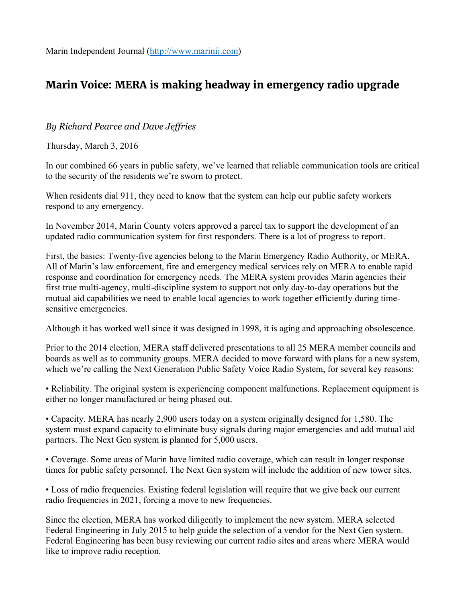## **Marin Voice: MERA is making headway in emergency radio upgrade**

## *By Richard Pearce and Dave Jeffries*

Thursday, March 3, 2016

In our combined 66 years in public safety, we've learned that reliable communication tools are critical to the security of the residents we're sworn to protect.

When residents dial 911, they need to know that the system can help our public safety workers respond to any emergency.

In November 2014, Marin County voters approved a parcel tax to support the development of an updated radio communication system for first responders. There is a lot of progress to report.

First, the basics: Twenty-five agencies belong to the Marin Emergency Radio Authority, or MERA. All of Marin's law enforcement, fire and emergency medical services rely on MERA to enable rapid response and coordination for emergency needs. The MERA system provides Marin agencies their first true multi-agency, multi-discipline system to support not only day-to-day operations but the mutual aid capabilities we need to enable local agencies to work together efficiently during timesensitive emergencies.

Although it has worked well since it was designed in 1998, it is aging and approaching obsolescence.

Prior to the 2014 election, MERA staff delivered presentations to all 25 MERA member councils and boards as well as to community groups. MERA decided to move forward with plans for a new system, which we're calling the Next Generation Public Safety Voice Radio System, for several key reasons:

• Reliability. The original system is experiencing component malfunctions. Replacement equipment is either no longer manufactured or being phased out.

• Capacity. MERA has nearly 2,900 users today on a system originally designed for 1,580. The system must expand capacity to eliminate busy signals during major emergencies and add mutual aid partners. The Next Gen system is planned for 5,000 users.

• Coverage. Some areas of Marin have limited radio coverage, which can result in longer response times for public safety personnel. The Next Gen system will include the addition of new tower sites.

• Loss of radio frequencies. Existing federal legislation will require that we give back our current radio frequencies in 2021, forcing a move to new frequencies.

Since the election, MERA has worked diligently to implement the new system. MERA selected Federal Engineering in July 2015 to help guide the selection of a vendor for the Next Gen system. Federal Engineering has been busy reviewing our current radio sites and areas where MERA would like to improve radio reception.